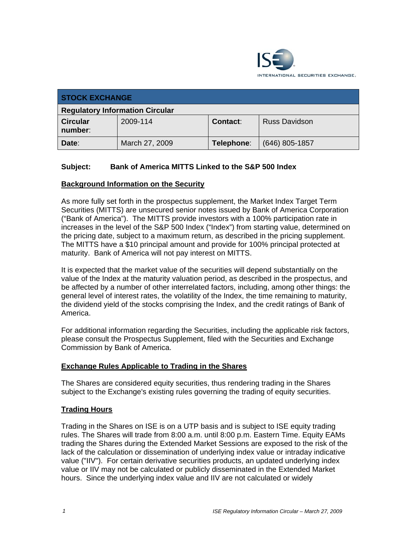

| <b>STOCK EXCHANGE</b>                  |                |            |                      |  |
|----------------------------------------|----------------|------------|----------------------|--|
| <b>Regulatory Information Circular</b> |                |            |                      |  |
| <b>Circular</b><br>number:             | 2009-114       | Contact:   | <b>Russ Davidson</b> |  |
| Date:                                  | March 27, 2009 | Telephone: | $(646)$ 805-1857     |  |

## **Subject: Bank of America MITTS Linked to the S&P 500 Index**

### **Background Information on the Security**

As more fully set forth in the prospectus supplement, the Market Index Target Term Securities (MITTS) are unsecured senior notes issued by Bank of America Corporation ("Bank of America"). The MITTS provide investors with a 100% participation rate in increases in the level of the S&P 500 Index ("Index") from starting value, determined on the pricing date, subject to a maximum return, as described in the pricing supplement. The MITTS have a \$10 principal amount and provide for 100% principal protected at maturity. Bank of America will not pay interest on MITTS.

It is expected that the market value of the securities will depend substantially on the value of the Index at the maturity valuation period, as described in the prospectus, and be affected by a number of other interrelated factors, including, among other things: the general level of interest rates, the volatility of the Index, the time remaining to maturity, the dividend yield of the stocks comprising the Index, and the credit ratings of Bank of America.

For additional information regarding the Securities, including the applicable risk factors, please consult the Prospectus Supplement, filed with the Securities and Exchange Commission by Bank of America.

#### **Exchange Rules Applicable to Trading in the Shares**

The Shares are considered equity securities, thus rendering trading in the Shares subject to the Exchange's existing rules governing the trading of equity securities.

#### **Trading Hours**

Trading in the Shares on ISE is on a UTP basis and is subject to ISE equity trading rules. The Shares will trade from 8:00 a.m. until 8:00 p.m. Eastern Time. Equity EAMs trading the Shares during the Extended Market Sessions are exposed to the risk of the lack of the calculation or dissemination of underlying index value or intraday indicative value ("IIV"). For certain derivative securities products, an updated underlying index value or IIV may not be calculated or publicly disseminated in the Extended Market hours. Since the underlying index value and IIV are not calculated or widely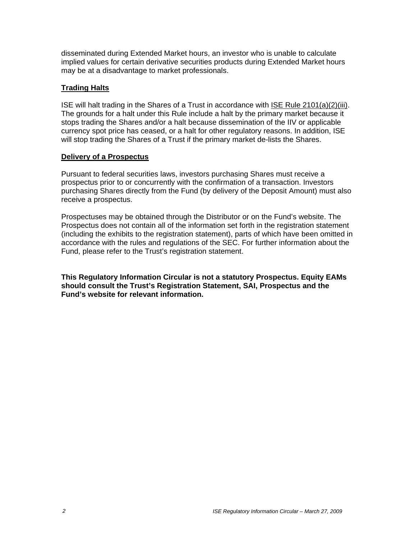disseminated during Extended Market hours, an investor who is unable to calculate implied values for certain derivative securities products during Extended Market hours may be at a disadvantage to market professionals.

## **Trading Halts**

ISE will halt trading in the Shares of a Trust in accordance with ISE Rule 2101(a)(2)(iii). The grounds for a halt under this Rule include a halt by the primary market because it stops trading the Shares and/or a halt because dissemination of the IIV or applicable currency spot price has ceased, or a halt for other regulatory reasons. In addition, ISE will stop trading the Shares of a Trust if the primary market de-lists the Shares.

## **Delivery of a Prospectus**

Pursuant to federal securities laws, investors purchasing Shares must receive a prospectus prior to or concurrently with the confirmation of a transaction. Investors purchasing Shares directly from the Fund (by delivery of the Deposit Amount) must also receive a prospectus.

Prospectuses may be obtained through the Distributor or on the Fund's website. The Prospectus does not contain all of the information set forth in the registration statement (including the exhibits to the registration statement), parts of which have been omitted in accordance with the rules and regulations of the SEC. For further information about the Fund, please refer to the Trust's registration statement.

**This Regulatory Information Circular is not a statutory Prospectus. Equity EAMs should consult the Trust's Registration Statement, SAI, Prospectus and the Fund's website for relevant information.**